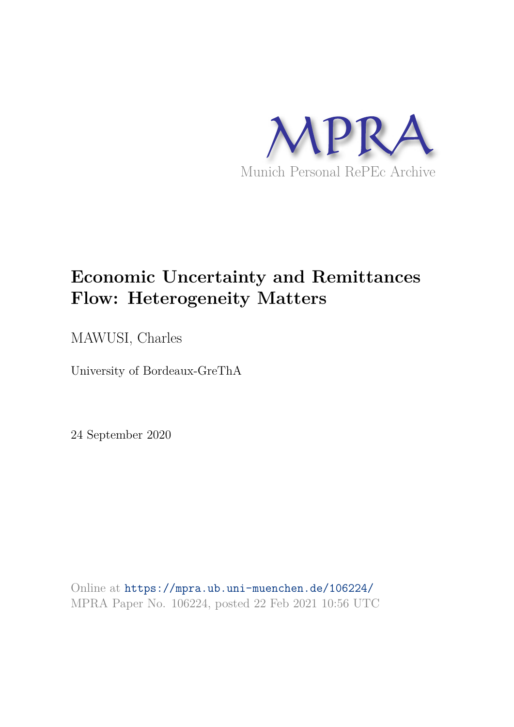

# **Economic Uncertainty and Remittances Flow: Heterogeneity Matters**

MAWUSI, Charles

University of Bordeaux-GreThA

24 September 2020

Online at https://mpra.ub.uni-muenchen.de/106224/ MPRA Paper No. 106224, posted 22 Feb 2021 10:56 UTC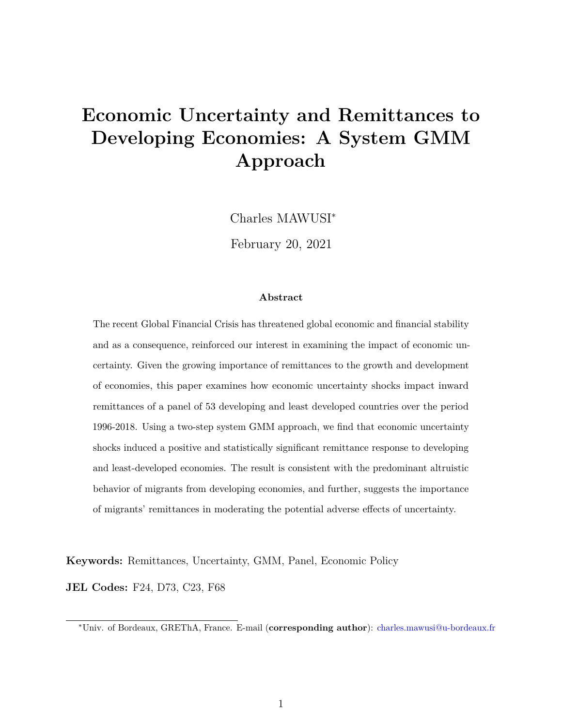# **Economic Uncertainty and Remittances to Developing Economies: A System GMM Approach**

Charles MAWUSI<sup>∗</sup>

February 20, 2021

#### **Abstract**

The recent Global Financial Crisis has threatened global economic and financial stability and as a consequence, reinforced our interest in examining the impact of economic uncertainty. Given the growing importance of remittances to the growth and development of economies, this paper examines how economic uncertainty shocks impact inward remittances of a panel of 53 developing and least developed countries over the period 1996-2018. Using a two-step system GMM approach, we find that economic uncertainty shocks induced a positive and statistically significant remittance response to developing and least-developed economies. The result is consistent with the predominant altruistic behavior of migrants from developing economies, and further, suggests the importance of migrants' remittances in moderating the potential adverse effects of uncertainty.

**Keywords:** Remittances, Uncertainty, GMM, Panel, Economic Policy

**JEL Codes:** F24, D73, C23, F68

<sup>∗</sup>Univ. of Bordeaux, GREThA, France. E-mail (**corresponding author**): charles.mawusi@u-bordeaux.fr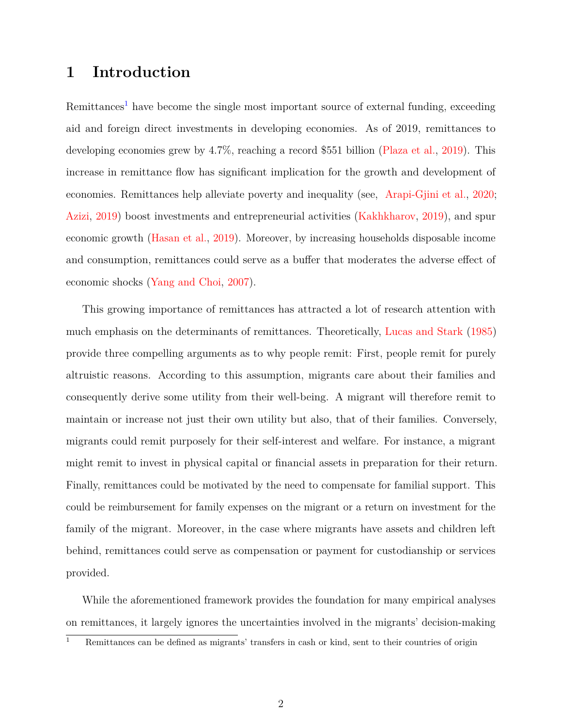## **1 Introduction**

Remittances<sup>1</sup> have become the single most important source of external funding, exceeding aid and foreign direct investments in developing economies. As of 2019, remittances to developing economies grew by 4.7%, reaching a record \$551 billion (Plaza et al., 2019). This increase in remittance flow has significant implication for the growth and development of economies. Remittances help alleviate poverty and inequality (see, Arapi-Gjini et al., 2020; Azizi, 2019) boost investments and entrepreneurial activities (Kakhkharov, 2019), and spur economic growth (Hasan et al., 2019). Moreover, by increasing households disposable income and consumption, remittances could serve as a buffer that moderates the adverse effect of economic shocks (Yang and Choi, 2007).

This growing importance of remittances has attracted a lot of research attention with much emphasis on the determinants of remittances. Theoretically, Lucas and Stark (1985) provide three compelling arguments as to why people remit: First, people remit for purely altruistic reasons. According to this assumption, migrants care about their families and consequently derive some utility from their well-being. A migrant will therefore remit to maintain or increase not just their own utility but also, that of their families. Conversely, migrants could remit purposely for their self-interest and welfare. For instance, a migrant might remit to invest in physical capital or financial assets in preparation for their return. Finally, remittances could be motivated by the need to compensate for familial support. This could be reimbursement for family expenses on the migrant or a return on investment for the family of the migrant. Moreover, in the case where migrants have assets and children left behind, remittances could serve as compensation or payment for custodianship or services provided.

While the aforementioned framework provides the foundation for many empirical analyses on remittances, it largely ignores the uncertainties involved in the migrants' decision-making

<sup>1</sup> Remittances can be defined as migrants' transfers in cash or kind, sent to their countries of origin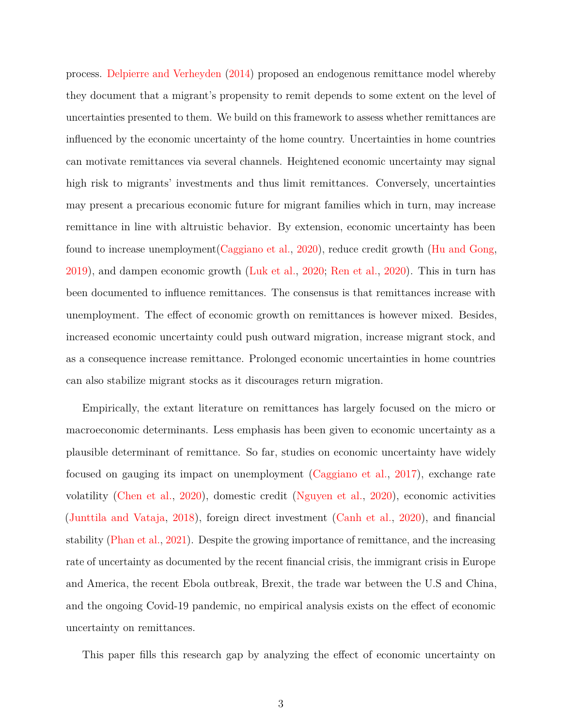process. Delpierre and Verheyden (2014) proposed an endogenous remittance model whereby they document that a migrant's propensity to remit depends to some extent on the level of uncertainties presented to them. We build on this framework to assess whether remittances are influenced by the economic uncertainty of the home country. Uncertainties in home countries can motivate remittances via several channels. Heightened economic uncertainty may signal high risk to migrants' investments and thus limit remittances. Conversely, uncertainties may present a precarious economic future for migrant families which in turn, may increase remittance in line with altruistic behavior. By extension, economic uncertainty has been found to increase unemployment(Caggiano et al., 2020), reduce credit growth (Hu and Gong, 2019), and dampen economic growth (Luk et al., 2020; Ren et al., 2020). This in turn has been documented to influence remittances. The consensus is that remittances increase with unemployment. The effect of economic growth on remittances is however mixed. Besides, increased economic uncertainty could push outward migration, increase migrant stock, and as a consequence increase remittance. Prolonged economic uncertainties in home countries can also stabilize migrant stocks as it discourages return migration.

Empirically, the extant literature on remittances has largely focused on the micro or macroeconomic determinants. Less emphasis has been given to economic uncertainty as a plausible determinant of remittance. So far, studies on economic uncertainty have widely focused on gauging its impact on unemployment (Caggiano et al., 2017), exchange rate volatility (Chen et al., 2020), domestic credit (Nguyen et al., 2020), economic activities (Junttila and Vataja, 2018), foreign direct investment (Canh et al., 2020), and financial stability (Phan et al., 2021). Despite the growing importance of remittance, and the increasing rate of uncertainty as documented by the recent financial crisis, the immigrant crisis in Europe and America, the recent Ebola outbreak, Brexit, the trade war between the U.S and China, and the ongoing Covid-19 pandemic, no empirical analysis exists on the effect of economic uncertainty on remittances.

This paper fills this research gap by analyzing the effect of economic uncertainty on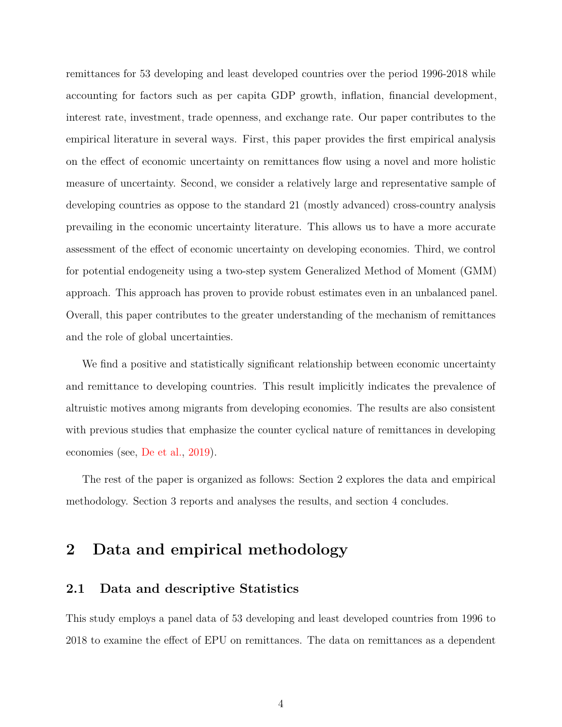remittances for 53 developing and least developed countries over the period 1996-2018 while accounting for factors such as per capita GDP growth, inflation, financial development, interest rate, investment, trade openness, and exchange rate. Our paper contributes to the empirical literature in several ways. First, this paper provides the first empirical analysis on the effect of economic uncertainty on remittances flow using a novel and more holistic measure of uncertainty. Second, we consider a relatively large and representative sample of developing countries as oppose to the standard 21 (mostly advanced) cross-country analysis prevailing in the economic uncertainty literature. This allows us to have a more accurate assessment of the effect of economic uncertainty on developing economies. Third, we control for potential endogeneity using a two-step system Generalized Method of Moment (GMM) approach. This approach has proven to provide robust estimates even in an unbalanced panel. Overall, this paper contributes to the greater understanding of the mechanism of remittances and the role of global uncertainties.

We find a positive and statistically significant relationship between economic uncertainty and remittance to developing countries. This result implicitly indicates the prevalence of altruistic motives among migrants from developing economies. The results are also consistent with previous studies that emphasize the counter cyclical nature of remittances in developing economies (see, De et al., 2019).

The rest of the paper is organized as follows: Section 2 explores the data and empirical methodology. Section 3 reports and analyses the results, and section 4 concludes.

## **2 Data and empirical methodology**

#### **2.1 Data and descriptive Statistics**

This study employs a panel data of 53 developing and least developed countries from 1996 to 2018 to examine the effect of EPU on remittances. The data on remittances as a dependent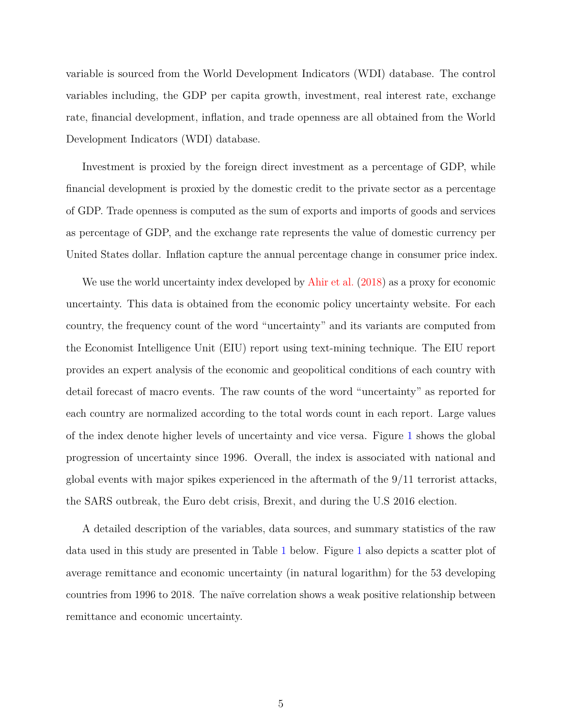variable is sourced from the World Development Indicators (WDI) database. The control variables including, the GDP per capita growth, investment, real interest rate, exchange rate, financial development, inflation, and trade openness are all obtained from the World Development Indicators (WDI) database.

Investment is proxied by the foreign direct investment as a percentage of GDP, while financial development is proxied by the domestic credit to the private sector as a percentage of GDP. Trade openness is computed as the sum of exports and imports of goods and services as percentage of GDP, and the exchange rate represents the value of domestic currency per United States dollar. Inflation capture the annual percentage change in consumer price index.

We use the world uncertainty index developed by Ahir et al. (2018) as a proxy for economic uncertainty. This data is obtained from the economic policy uncertainty website. For each country, the frequency count of the word "uncertainty" and its variants are computed from the Economist Intelligence Unit (EIU) report using text-mining technique. The EIU report provides an expert analysis of the economic and geopolitical conditions of each country with detail forecast of macro events. The raw counts of the word "uncertainty" as reported for each country are normalized according to the total words count in each report. Large values of the index denote higher levels of uncertainty and vice versa. Figure 1 shows the global progression of uncertainty since 1996. Overall, the index is associated with national and global events with major spikes experienced in the aftermath of the 9/11 terrorist attacks, the SARS outbreak, the Euro debt crisis, Brexit, and during the U.S 2016 election.

A detailed description of the variables, data sources, and summary statistics of the raw data used in this study are presented in Table 1 below. Figure 1 also depicts a scatter plot of average remittance and economic uncertainty (in natural logarithm) for the 53 developing countries from 1996 to 2018. The naïve correlation shows a weak positive relationship between remittance and economic uncertainty.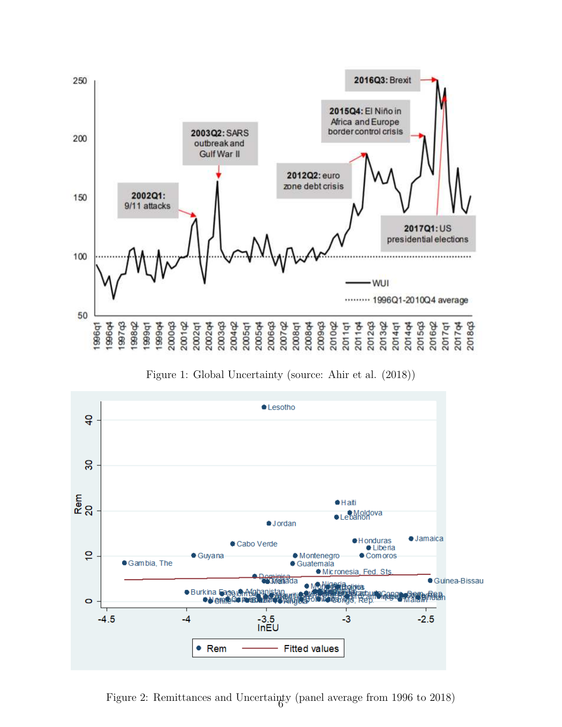

Figure 1: Global Uncertainty (source: Ahir et al. (2018))



Figure 2: Remittances and Uncertainty (panel average from 1996 to  $2018$ )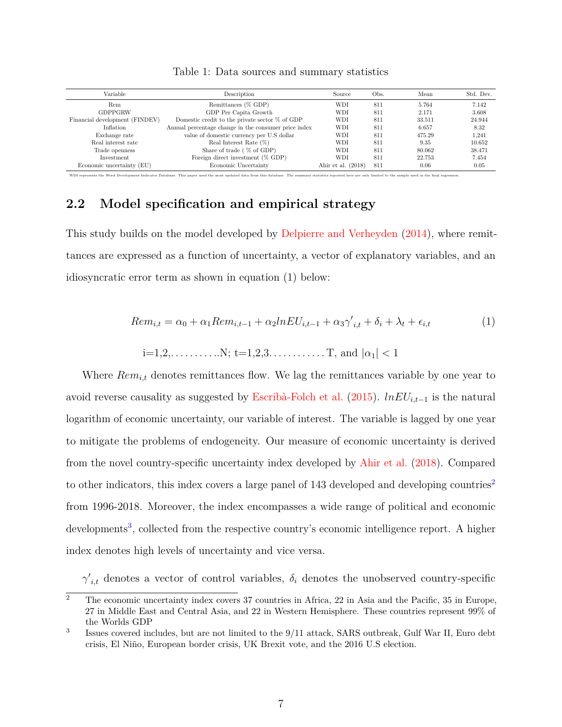| Variable                       | Description                                          | Source               | Obs. | Mean   | Std. Dev. |
|--------------------------------|------------------------------------------------------|----------------------|------|--------|-----------|
| Rem                            | Remittances (% GDP)                                  | WDI                  | 811  | 5.764  | 7.142     |
| <b>GDPPGRW</b>                 | GDP Per Capita Growth                                | WDI                  | 811  | 2.171  | 3.608     |
| Financial development (FINDEV) | Domestic credit to the private sector $\%$ of GDP    | WDI                  | 811  | 33.511 | 24.944    |
| Inflation                      | Annual percentage change in the consumer price index | WDI                  | 811  | 6.657  | 8.32      |
| Exchange rate                  | value of domestic currency per U.S dollar            | WDI                  | 811  | 475.29 | 1.241     |
| Real interest rate             | Real Interest Rate $(\%)$                            | WDI                  | 811  | 9.35   | 10.652    |
| Trade openness                 | Share of trade (% of GDP)                            | WDI                  | 811  | 80.062 | 38.471    |
| Investment                     | Foreign direct investment $(\%$ GDP)                 | <b>WDI</b>           | 811  | 22.753 | 7.454     |
| Economic uncertainty (EU)      | Economic Uncertainty                                 | Ahir et al. $(2018)$ | 811  | 0.06   | 0.05      |
|                                |                                                      |                      |      |        |           |

WDI represents the Word Development Indicator Database. This paper used the most updated data from this database. The summary statistics reported here are only limited to the sample used in the final regression.

Table 1: Data sources and summary statistics

### **2.2 Model specification and empirical strategy**

This study builds on the model developed by Delpierre and Verheyden (2014), where remittances are expressed as a function of uncertainty, a vector of explanatory variables, and an idiosyncratic error term as shown in equation (1) below:

$$
Rem_{i,t} = \alpha_0 + \alpha_1 Rem_{i,t-1} + \alpha_2 lnEU_{i,t-1} + \alpha_3 \gamma'_{i,t} + \delta_i + \lambda_t + \epsilon_{i,t}
$$
\n<sup>(1)</sup>

$$
i=1,2,\ldots,\ldots,N;
$$
  $t=1,2,3,\ldots,\ldots,T,$  and  $|\alpha_1| < 1$ 

Where *Remi,t* denotes remittances flow. We lag the remittances variable by one year to avoid reverse causality as suggested by Escrib`a-Folch et al. (2015). *lnEUi,t*−<sup>1</sup> is the natural logarithm of economic uncertainty, our variable of interest. The variable is lagged by one year to mitigate the problems of endogeneity. Our measure of economic uncertainty is derived from the novel country-specific uncertainty index developed by Ahir et al. (2018). Compared to other indicators, this index covers a large panel of  $143$  developed and developing countries<sup>2</sup> from 1996-2018. Moreover, the index encompasses a wide range of political and economic developments<sup>3</sup>, collected from the respective country's economic intelligence report. A higher index denotes high levels of uncertainty and vice versa.

 $γ'$ <sub>*i,t*</sub> denotes a vector of control variables,  $δ$ <sub>*i*</sub> denotes the unobserved country-specific

 $\overline{a}$  The economic uncertainty index covers 37 countries in Africa, 22 in Asia and the Pacific, 35 in Europe, 27 in Middle East and Central Asia, and 22 in Western Hemisphere. These countries represent 99% of the Worlds GDP

<sup>3</sup> Issues covered includes, but are not limited to the 9/11 attack, SARS outbreak, Gulf War II, Euro debt crisis, El Ni˜no, European border crisis, UK Brexit vote, and the 2016 U.S election.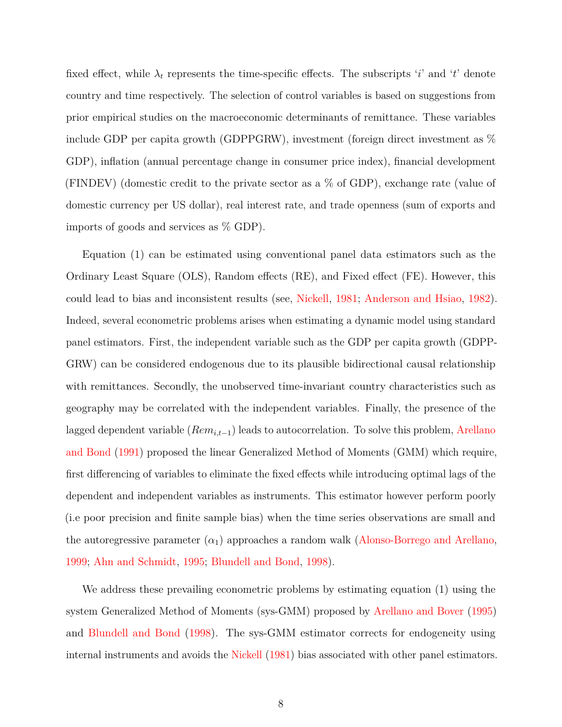fixed effect, while  $\lambda_t$  represents the time-specific effects. The subscripts '*i*' and '*t*' denote country and time respectively. The selection of control variables is based on suggestions from prior empirical studies on the macroeconomic determinants of remittance. These variables include GDP per capita growth (GDPPGRW), investment (foreign direct investment as % GDP), inflation (annual percentage change in consumer price index), financial development (FINDEV) (domestic credit to the private sector as a % of GDP), exchange rate (value of domestic currency per US dollar), real interest rate, and trade openness (sum of exports and imports of goods and services as % GDP).

Equation (1) can be estimated using conventional panel data estimators such as the Ordinary Least Square (OLS), Random effects (RE), and Fixed effect (FE). However, this could lead to bias and inconsistent results (see, Nickell, 1981; Anderson and Hsiao, 1982). Indeed, several econometric problems arises when estimating a dynamic model using standard panel estimators. First, the independent variable such as the GDP per capita growth (GDPP-GRW) can be considered endogenous due to its plausible bidirectional causal relationship with remittances. Secondly, the unobserved time-invariant country characteristics such as geography may be correlated with the independent variables. Finally, the presence of the lagged dependent variable (*Remi,t*−1) leads to autocorrelation. To solve this problem, Arellano and Bond (1991) proposed the linear Generalized Method of Moments (GMM) which require, first differencing of variables to eliminate the fixed effects while introducing optimal lags of the dependent and independent variables as instruments. This estimator however perform poorly (i.e poor precision and finite sample bias) when the time series observations are small and the autoregressive parameter  $(\alpha_1)$  approaches a random walk (Alonso-Borrego and Arellano, 1999; Ahn and Schmidt, 1995; Blundell and Bond, 1998).

We address these prevailing econometric problems by estimating equation (1) using the system Generalized Method of Moments (sys-GMM) proposed by Arellano and Bover (1995) and Blundell and Bond (1998). The sys-GMM estimator corrects for endogeneity using internal instruments and avoids the Nickell (1981) bias associated with other panel estimators.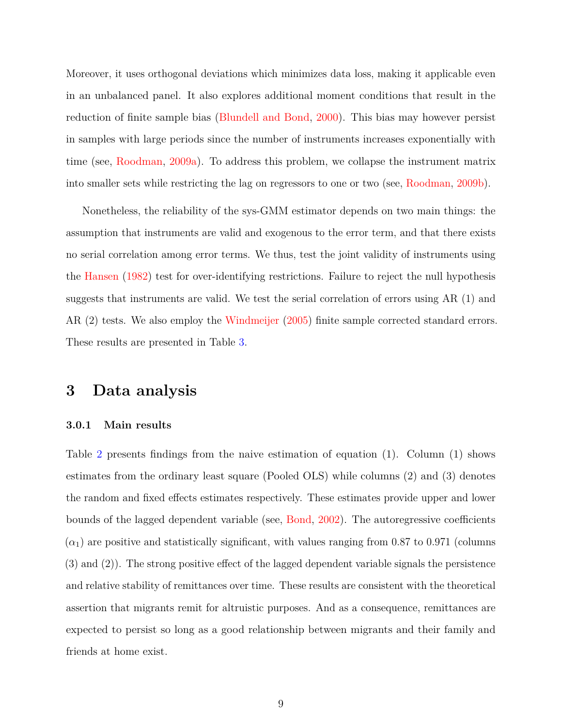Moreover, it uses orthogonal deviations which minimizes data loss, making it applicable even in an unbalanced panel. It also explores additional moment conditions that result in the reduction of finite sample bias (Blundell and Bond, 2000). This bias may however persist in samples with large periods since the number of instruments increases exponentially with time (see, Roodman, 2009a). To address this problem, we collapse the instrument matrix into smaller sets while restricting the lag on regressors to one or two (see, Roodman, 2009b).

Nonetheless, the reliability of the sys-GMM estimator depends on two main things: the assumption that instruments are valid and exogenous to the error term, and that there exists no serial correlation among error terms. We thus, test the joint validity of instruments using the Hansen (1982) test for over-identifying restrictions. Failure to reject the null hypothesis suggests that instruments are valid. We test the serial correlation of errors using AR (1) and AR (2) tests. We also employ the Windmeijer (2005) finite sample corrected standard errors. These results are presented in Table 3.

### **3 Data analysis**

#### **3.0.1 Main results**

Table 2 presents findings from the naive estimation of equation (1). Column (1) shows estimates from the ordinary least square (Pooled OLS) while columns (2) and (3) denotes the random and fixed effects estimates respectively. These estimates provide upper and lower bounds of the lagged dependent variable (see, Bond, 2002). The autoregressive coefficients  $(\alpha_1)$  are positive and statistically significant, with values ranging from 0.87 to 0.971 (columns) (3) and (2)). The strong positive effect of the lagged dependent variable signals the persistence and relative stability of remittances over time. These results are consistent with the theoretical assertion that migrants remit for altruistic purposes. And as a consequence, remittances are expected to persist so long as a good relationship between migrants and their family and friends at home exist.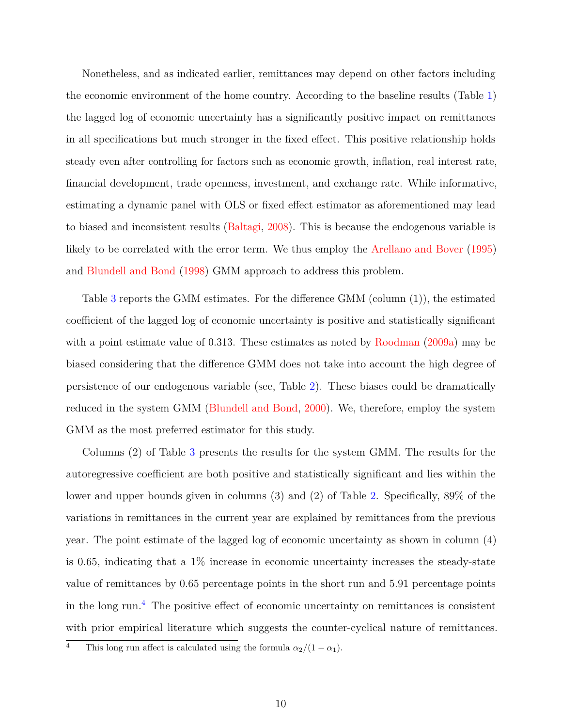Nonetheless, and as indicated earlier, remittances may depend on other factors including the economic environment of the home country. According to the baseline results (Table 1) the lagged log of economic uncertainty has a significantly positive impact on remittances in all specifications but much stronger in the fixed effect. This positive relationship holds steady even after controlling for factors such as economic growth, inflation, real interest rate, financial development, trade openness, investment, and exchange rate. While informative, estimating a dynamic panel with OLS or fixed effect estimator as aforementioned may lead to biased and inconsistent results (Baltagi, 2008). This is because the endogenous variable is likely to be correlated with the error term. We thus employ the Arellano and Bover (1995) and Blundell and Bond (1998) GMM approach to address this problem.

Table 3 reports the GMM estimates. For the difference GMM (column (1)), the estimated coefficient of the lagged log of economic uncertainty is positive and statistically significant with a point estimate value of 0.313. These estimates as noted by Roodman (2009a) may be biased considering that the difference GMM does not take into account the high degree of persistence of our endogenous variable (see, Table 2). These biases could be dramatically reduced in the system GMM (Blundell and Bond, 2000). We, therefore, employ the system GMM as the most preferred estimator for this study.

Columns (2) of Table 3 presents the results for the system GMM. The results for the autoregressive coefficient are both positive and statistically significant and lies within the lower and upper bounds given in columns (3) and (2) of Table 2. Specifically, 89% of the variations in remittances in the current year are explained by remittances from the previous year. The point estimate of the lagged log of economic uncertainty as shown in column (4) is 0.65, indicating that a 1% increase in economic uncertainty increases the steady-state value of remittances by 0.65 percentage points in the short run and 5.91 percentage points in the long run.<sup>4</sup> The positive effect of economic uncertainty on remittances is consistent with prior empirical literature which suggests the counter-cyclical nature of remittances.

<sup>&</sup>lt;sup>4</sup> This long run affect is calculated using the formula  $\alpha_2/(1-\alpha_1)$ .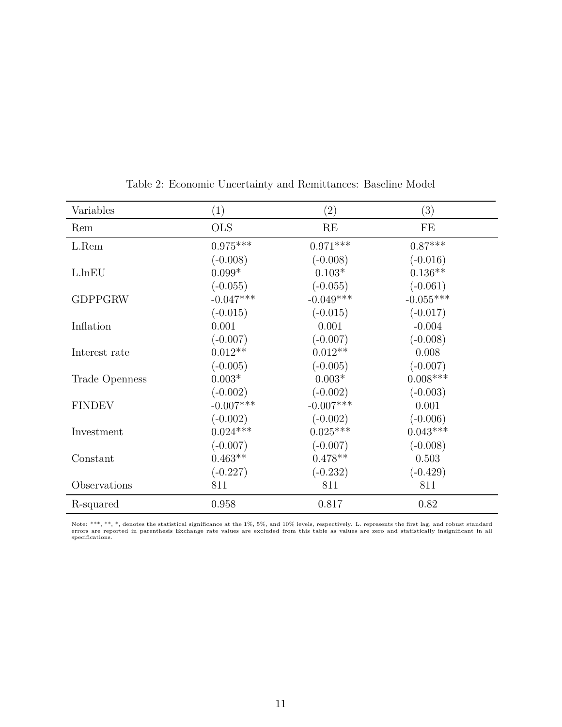| Variables      | (1)         | $\left( 2\right)$ | (3)         |
|----------------|-------------|-------------------|-------------|
| Rem            | <b>OLS</b>  | RE                | FE          |
| L.Rem          | $0.975***$  | $0.971***$        | $0.87***$   |
|                | $(-0.008)$  | $(-0.008)$        | $(-0.016)$  |
| L.lnEU         | $0.099*$    | $0.103*$          | $0.136**$   |
|                | $(-0.055)$  | $(-0.055)$        | $(-0.061)$  |
| <b>GDPPGRW</b> | $-0.047***$ | $-0.049***$       | $-0.055***$ |
|                | $(-0.015)$  | $(-0.015)$        | $(-0.017)$  |
| Inflation      | 0.001       | 0.001             | $-0.004$    |
|                | $(-0.007)$  | $(-0.007)$        | $(-0.008)$  |
| Interest rate  | $0.012**$   | $0.012**$         | 0.008       |
|                | $(-0.005)$  | $(-0.005)$        | $(-0.007)$  |
| Trade Openness | $0.003*$    | $0.003*$          | $0.008***$  |
|                | $(-0.002)$  | $(-0.002)$        | $(-0.003)$  |
| <b>FINDEV</b>  | $-0.007***$ | $-0.007***$       | 0.001       |
|                | $(-0.002)$  | $(-0.002)$        | $(-0.006)$  |
| Investment     | $0.024***$  | $0.025***$        | $0.043***$  |
|                | $(-0.007)$  | $(-0.007)$        | $(-0.008)$  |
| Constant       | $0.463**$   | $0.478**$         | 0.503       |
|                | $(-0.227)$  | $(-0.232)$        | $(-0.429)$  |
| Observations   | 811         | 811               | 811         |
| R-squared      | 0.958       | 0.817             | 0.82        |

Table 2: Economic Uncertainty and Remittances: Baseline Model

Note: \*\*\*, \*\*, \*, denotes the statistical significance at the 1%, 5%, and 10% levels, respectively. L. represents the first lag, and robust standard<br>errors are reported in parenthesis Exchange rate values are excluded from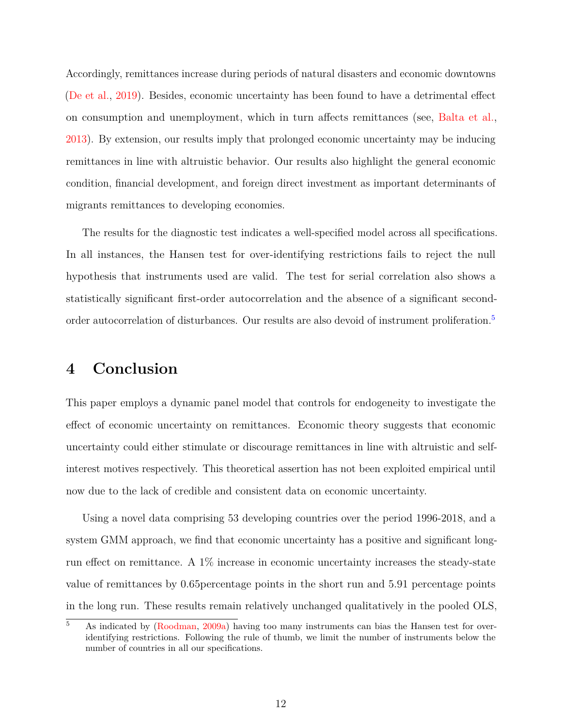Accordingly, remittances increase during periods of natural disasters and economic downtowns (De et al., 2019). Besides, economic uncertainty has been found to have a detrimental effect on consumption and unemployment, which in turn affects remittances (see, Balta et al., 2013). By extension, our results imply that prolonged economic uncertainty may be inducing remittances in line with altruistic behavior. Our results also highlight the general economic condition, financial development, and foreign direct investment as important determinants of migrants remittances to developing economies.

The results for the diagnostic test indicates a well-specified model across all specifications. In all instances, the Hansen test for over-identifying restrictions fails to reject the null hypothesis that instruments used are valid. The test for serial correlation also shows a statistically significant first-order autocorrelation and the absence of a significant secondorder autocorrelation of disturbances. Our results are also devoid of instrument proliferation.<sup>5</sup>

## **4 Conclusion**

This paper employs a dynamic panel model that controls for endogeneity to investigate the effect of economic uncertainty on remittances. Economic theory suggests that economic uncertainty could either stimulate or discourage remittances in line with altruistic and selfinterest motives respectively. This theoretical assertion has not been exploited empirical until now due to the lack of credible and consistent data on economic uncertainty.

Using a novel data comprising 53 developing countries over the period 1996-2018, and a system GMM approach, we find that economic uncertainty has a positive and significant longrun effect on remittance. A 1% increase in economic uncertainty increases the steady-state value of remittances by 0.65percentage points in the short run and 5.91 percentage points in the long run. These results remain relatively unchanged qualitatively in the pooled OLS,

<sup>&</sup>lt;sup>5</sup> As indicated by (Roodman, 2009a) having too many instruments can bias the Hansen test for overidentifying restrictions. Following the rule of thumb, we limit the number of instruments below the number of countries in all our specifications.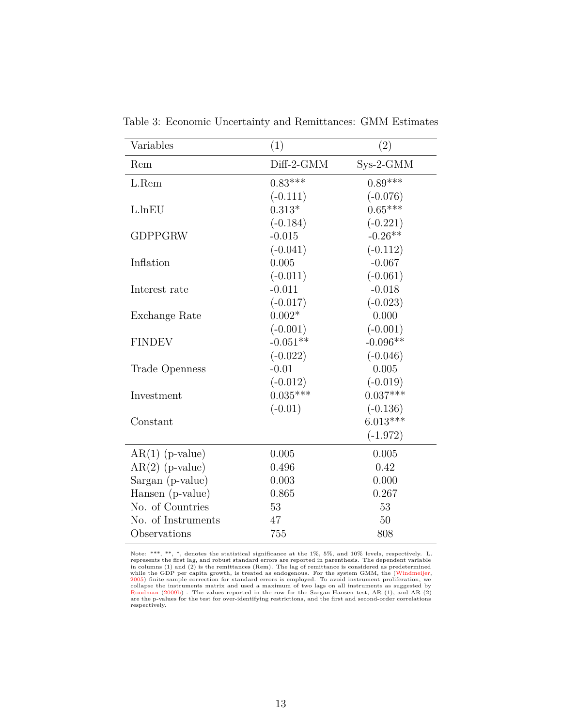| Variables          | (1)        | (2)        |
|--------------------|------------|------------|
| Rem                | Diff-2-GMM | Sys-2-GMM  |
| L.Rem              | $0.83***$  | $0.89***$  |
|                    | $(-0.111)$ | $(-0.076)$ |
| L.lnEU             | $0.313*$   | $0.65***$  |
|                    | $(-0.184)$ | $(-0.221)$ |
| <b>GDPPGRW</b>     | $-0.015$   | $-0.26**$  |
|                    | $(-0.041)$ | $(-0.112)$ |
| Inflation          | 0.005      | $-0.067$   |
|                    | $(-0.011)$ | $(-0.061)$ |
| Interest rate      | $-0.011$   | $-0.018$   |
|                    | $(-0.017)$ | $(-0.023)$ |
| Exchange Rate      | $0.002*$   | 0.000      |
|                    | $(-0.001)$ | $(-0.001)$ |
| <b>FINDEV</b>      | $-0.051**$ | $-0.096**$ |
|                    | $(-0.022)$ | $(-0.046)$ |
| Trade Openness     | $-0.01$    | 0.005      |
|                    | $(-0.012)$ | $(-0.019)$ |
| Investment         | $0.035***$ | $0.037***$ |
|                    | $(-0.01)$  | $(-0.136)$ |
| Constant           |            | $6.013***$ |
|                    |            | $(-1.972)$ |
| $AR(1)$ (p-value)  | 0.005      | 0.005      |
| $AR(2)$ (p-value)  | 0.496      | 0.42       |
| Sargan (p-value)   | 0.003      | 0.000      |
| Hansen (p-value)   | 0.865      | 0.267      |
| No. of Countries   | 53         | 53         |
| No. of Instruments | 47         | 50         |
| Observations       | 755        | 808        |

Table 3: Economic Uncertainty and Remittances: GMM Estimates

Note: \*\*\*, \*\*, \*, denotes the statistical significance at the 1%, 5%, and 10% levels, respectively. L.<br>represents the first lag, and robust standard errors are reported in parenthesis. The dependent variable<br>in columns (1 respectively.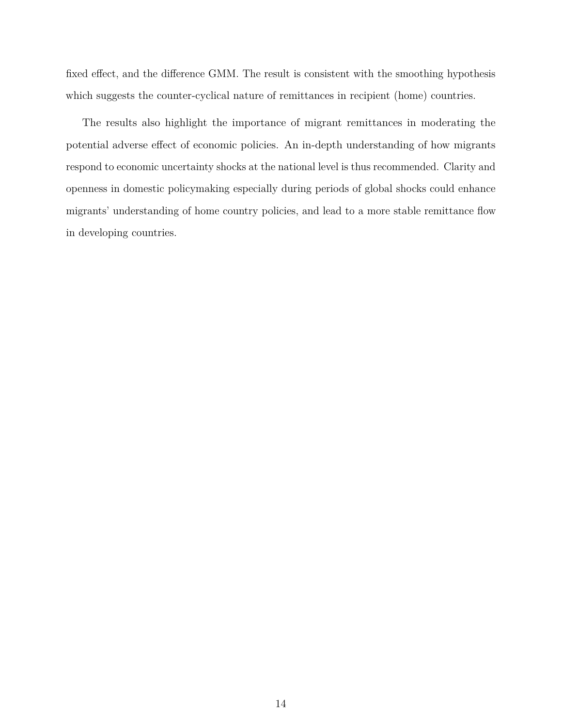fixed effect, and the difference GMM. The result is consistent with the smoothing hypothesis which suggests the counter-cyclical nature of remittances in recipient (home) countries.

The results also highlight the importance of migrant remittances in moderating the potential adverse effect of economic policies. An in-depth understanding of how migrants respond to economic uncertainty shocks at the national level is thus recommended. Clarity and openness in domestic policymaking especially during periods of global shocks could enhance migrants' understanding of home country policies, and lead to a more stable remittance flow in developing countries.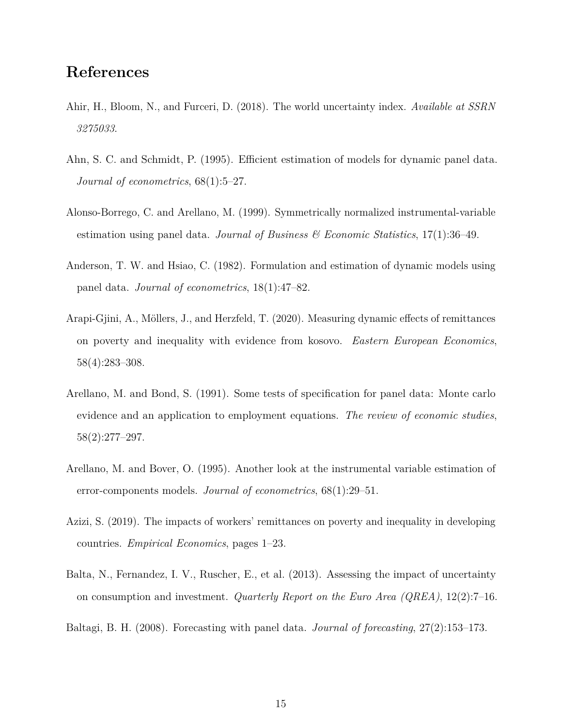## **References**

- Ahir, H., Bloom, N., and Furceri, D. (2018). The world uncertainty index. *Available at SSRN 3275033*.
- Ahn, S. C. and Schmidt, P. (1995). Efficient estimation of models for dynamic panel data. *Journal of econometrics*, 68(1):5–27.
- Alonso-Borrego, C. and Arellano, M. (1999). Symmetrically normalized instrumental-variable estimation using panel data. *Journal of Business & Economic Statistics*, 17(1):36–49.
- Anderson, T. W. and Hsiao, C. (1982). Formulation and estimation of dynamic models using panel data. *Journal of econometrics*, 18(1):47–82.
- Arapi-Gjini, A., Möllers, J., and Herzfeld, T. (2020). Measuring dynamic effects of remittances on poverty and inequality with evidence from kosovo. *Eastern European Economics*, 58(4):283–308.
- Arellano, M. and Bond, S. (1991). Some tests of specification for panel data: Monte carlo evidence and an application to employment equations. *The review of economic studies*, 58(2):277–297.
- Arellano, M. and Bover, O. (1995). Another look at the instrumental variable estimation of error-components models. *Journal of econometrics*, 68(1):29–51.
- Azizi, S. (2019). The impacts of workers' remittances on poverty and inequality in developing countries. *Empirical Economics*, pages 1–23.
- Balta, N., Fernandez, I. V., Ruscher, E., et al. (2013). Assessing the impact of uncertainty on consumption and investment. *Quarterly Report on the Euro Area (QREA)*, 12(2):7–16.
- Baltagi, B. H. (2008). Forecasting with panel data. *Journal of forecasting*, 27(2):153–173.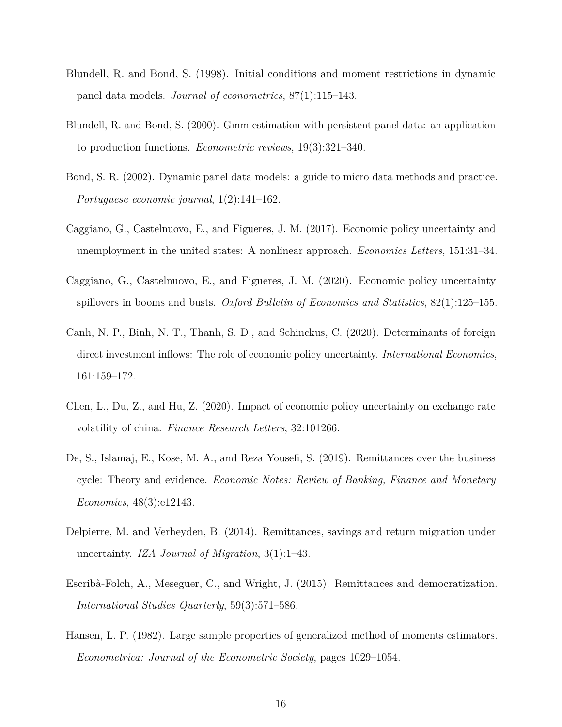- Blundell, R. and Bond, S. (1998). Initial conditions and moment restrictions in dynamic panel data models. *Journal of econometrics*, 87(1):115–143.
- Blundell, R. and Bond, S. (2000). Gmm estimation with persistent panel data: an application to production functions. *Econometric reviews*, 19(3):321–340.
- Bond, S. R. (2002). Dynamic panel data models: a guide to micro data methods and practice. *Portuguese economic journal*, 1(2):141–162.
- Caggiano, G., Castelnuovo, E., and Figueres, J. M. (2017). Economic policy uncertainty and unemployment in the united states: A nonlinear approach. *Economics Letters*, 151:31–34.
- Caggiano, G., Castelnuovo, E., and Figueres, J. M. (2020). Economic policy uncertainty spillovers in booms and busts. *Oxford Bulletin of Economics and Statistics*, 82(1):125–155.
- Canh, N. P., Binh, N. T., Thanh, S. D., and Schinckus, C. (2020). Determinants of foreign direct investment inflows: The role of economic policy uncertainty. *International Economics*, 161:159–172.
- Chen, L., Du, Z., and Hu, Z. (2020). Impact of economic policy uncertainty on exchange rate volatility of china. *Finance Research Letters*, 32:101266.
- De, S., Islamaj, E., Kose, M. A., and Reza Yousefi, S. (2019). Remittances over the business cycle: Theory and evidence. *Economic Notes: Review of Banking, Finance and Monetary Economics*, 48(3):e12143.
- Delpierre, M. and Verheyden, B. (2014). Remittances, savings and return migration under uncertainty. *IZA Journal of Migration*, 3(1):1–43.
- Escribà-Folch, A., Meseguer, C., and Wright, J. (2015). Remittances and democratization. *International Studies Quarterly*, 59(3):571–586.
- Hansen, L. P. (1982). Large sample properties of generalized method of moments estimators. *Econometrica: Journal of the Econometric Society*, pages 1029–1054.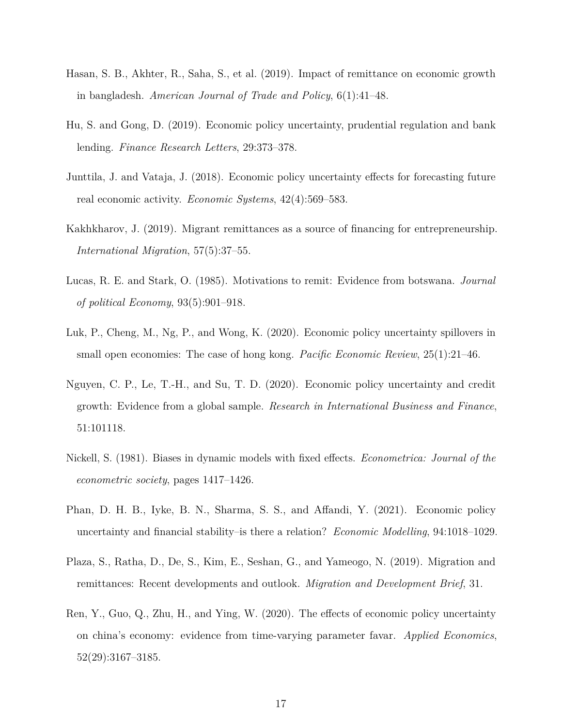- Hasan, S. B., Akhter, R., Saha, S., et al. (2019). Impact of remittance on economic growth in bangladesh. *American Journal of Trade and Policy*, 6(1):41–48.
- Hu, S. and Gong, D. (2019). Economic policy uncertainty, prudential regulation and bank lending. *Finance Research Letters*, 29:373–378.
- Junttila, J. and Vataja, J. (2018). Economic policy uncertainty effects for forecasting future real economic activity. *Economic Systems*, 42(4):569–583.
- Kakhkharov, J. (2019). Migrant remittances as a source of financing for entrepreneurship. *International Migration*, 57(5):37–55.
- Lucas, R. E. and Stark, O. (1985). Motivations to remit: Evidence from botswana. *Journal of political Economy*, 93(5):901–918.
- Luk, P., Cheng, M., Ng, P., and Wong, K. (2020). Economic policy uncertainty spillovers in small open economies: The case of hong kong. *Pacific Economic Review*, 25(1):21–46.
- Nguyen, C. P., Le, T.-H., and Su, T. D. (2020). Economic policy uncertainty and credit growth: Evidence from a global sample. *Research in International Business and Finance*, 51:101118.
- Nickell, S. (1981). Biases in dynamic models with fixed effects. *Econometrica: Journal of the econometric society*, pages 1417–1426.
- Phan, D. H. B., Iyke, B. N., Sharma, S. S., and Affandi, Y. (2021). Economic policy uncertainty and financial stability–is there a relation? *Economic Modelling*, 94:1018–1029.
- Plaza, S., Ratha, D., De, S., Kim, E., Seshan, G., and Yameogo, N. (2019). Migration and remittances: Recent developments and outlook. *Migration and Development Brief*, 31.
- Ren, Y., Guo, Q., Zhu, H., and Ying, W. (2020). The effects of economic policy uncertainty on china's economy: evidence from time-varying parameter favar. *Applied Economics*, 52(29):3167–3185.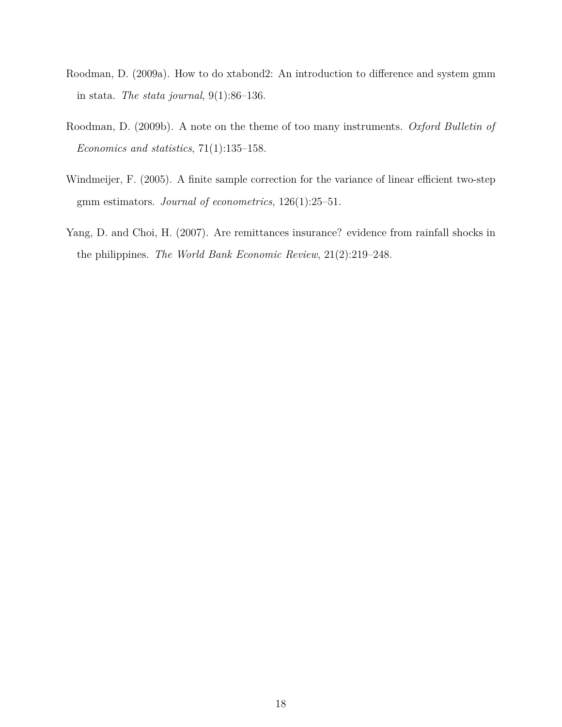- Roodman, D. (2009a). How to do xtabond2: An introduction to difference and system gmm in stata. *The stata journal*, 9(1):86–136.
- Roodman, D. (2009b). A note on the theme of too many instruments. *Oxford Bulletin of Economics and statistics*, 71(1):135–158.
- Windmeijer, F. (2005). A finite sample correction for the variance of linear efficient two-step gmm estimators. *Journal of econometrics*, 126(1):25–51.
- Yang, D. and Choi, H. (2007). Are remittances insurance? evidence from rainfall shocks in the philippines. *The World Bank Economic Review*, 21(2):219–248.